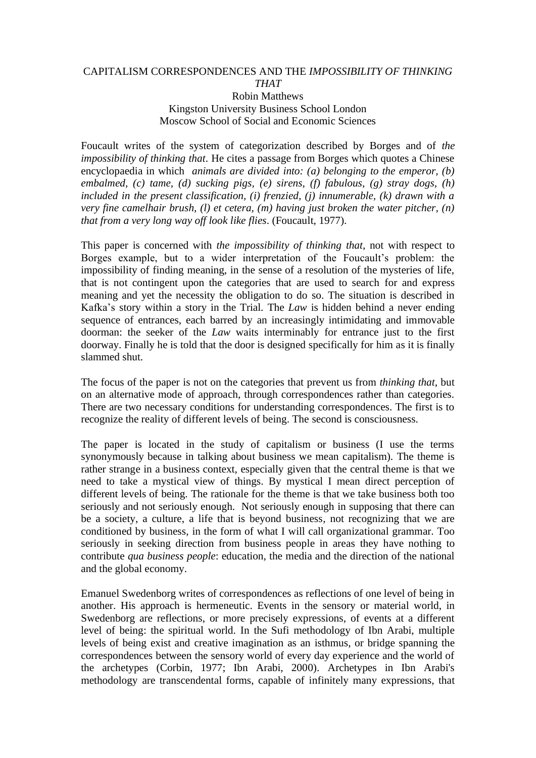## CAPITALISM CORRESPONDENCES AND THE *IMPOSSIBILITY OF THINKING THAT* Robin Matthews

## Kingston University Business School London Moscow School of Social and Economic Sciences

Foucault writes of the system of categorization described by Borges and of *the impossibility of thinking that*. He cites a passage from Borges which quotes a Chinese encyclopaedia in which *animals are divided into: (a) belonging to the emperor, (b) embalmed, (c) tame, (d) sucking pigs, (e) sirens, (f) fabulous, (g) stray dogs, (h) included in the present classification, (i) frenzied, (j) innumerable, (k) drawn with a very fine camelhair brush, (l) et cetera, (m) having just broken the water pitcher, (n) that from a very long way off look like flies*. (Foucault, 1977).

This paper is concerned with *the impossibility of thinking that*, not with respect to Borges example, but to a wider interpretation of the Foucault's problem: the impossibility of finding meaning, in the sense of a resolution of the mysteries of life, that is not contingent upon the categories that are used to search for and express meaning and yet the necessity the obligation to do so. The situation is described in Kafka's story within a story in the Trial. The *Law* is hidden behind a never ending sequence of entrances, each barred by an increasingly intimidating and immovable doorman: the seeker of the *Law* waits interminably for entrance just to the first doorway. Finally he is told that the door is designed specifically for him as it is finally slammed shut.

The focus of the paper is not on the categories that prevent us from *thinking that*, but on an alternative mode of approach, through correspondences rather than categories. There are two necessary conditions for understanding correspondences. The first is to recognize the reality of different levels of being. The second is consciousness.

The paper is located in the study of capitalism or business (I use the terms synonymously because in talking about business we mean capitalism). The theme is rather strange in a business context, especially given that the central theme is that we need to take a mystical view of things. By mystical I mean direct perception of different levels of being. The rationale for the theme is that we take business both too seriously and not seriously enough. Not seriously enough in supposing that there can be a society, a culture, a life that is beyond business, not recognizing that we are conditioned by business, in the form of what I will call organizational grammar. Too seriously in seeking direction from business people in areas they have nothing to contribute *qua business people*: education, the media and the direction of the national and the global economy.

Emanuel Swedenborg writes of correspondences as reflections of one level of being in another. His approach is hermeneutic. Events in the sensory or material world, in Swedenborg are reflections, or more precisely expressions, of events at a different level of being: the spiritual world. In the Sufi methodology of Ibn Arabi, multiple levels of being exist and creative imagination as an isthmus, or bridge spanning the correspondences between the sensory world of every day experience and the world of the archetypes (Corbin, 1977; Ibn Arabi, 2000). Archetypes in Ibn Arabi's methodology are transcendental forms, capable of infinitely many expressions, that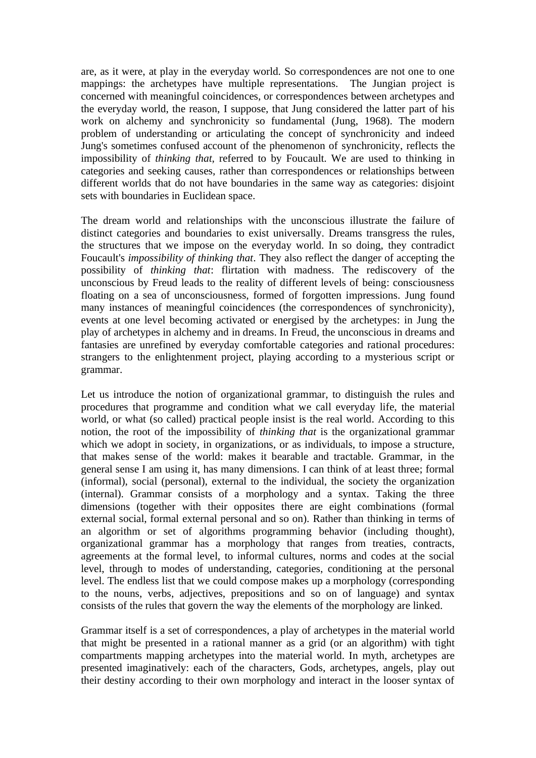are, as it were, at play in the everyday world. So correspondences are not one to one mappings: the archetypes have multiple representations. The Jungian project is concerned with meaningful coincidences, or correspondences between archetypes and the everyday world, the reason, I suppose, that Jung considered the latter part of his work on alchemy and synchronicity so fundamental (Jung, 1968). The modern problem of understanding or articulating the concept of synchronicity and indeed Jung's sometimes confused account of the phenomenon of synchronicity, reflects the impossibility of *thinking that*, referred to by Foucault. We are used to thinking in categories and seeking causes, rather than correspondences or relationships between different worlds that do not have boundaries in the same way as categories: disjoint sets with boundaries in Euclidean space.

The dream world and relationships with the unconscious illustrate the failure of distinct categories and boundaries to exist universally. Dreams transgress the rules, the structures that we impose on the everyday world. In so doing, they contradict Foucault's *impossibility of thinking that*. They also reflect the danger of accepting the possibility of *thinking that*: flirtation with madness. The rediscovery of the unconscious by Freud leads to the reality of different levels of being: consciousness floating on a sea of unconsciousness, formed of forgotten impressions. Jung found many instances of meaningful coincidences (the correspondences of synchronicity), events at one level becoming activated or energised by the archetypes: in Jung the play of archetypes in alchemy and in dreams. In Freud, the unconscious in dreams and fantasies are unrefined by everyday comfortable categories and rational procedures: strangers to the enlightenment project, playing according to a mysterious script or grammar.

Let us introduce the notion of organizational grammar, to distinguish the rules and procedures that programme and condition what we call everyday life, the material world, or what (so called) practical people insist is the real world. According to this notion, the root of the impossibility of *thinking that* is the organizational grammar which we adopt in society, in organizations, or as individuals, to impose a structure, that makes sense of the world: makes it bearable and tractable. Grammar, in the general sense I am using it, has many dimensions. I can think of at least three; formal (informal), social (personal), external to the individual, the society the organization (internal). Grammar consists of a morphology and a syntax. Taking the three dimensions (together with their opposites there are eight combinations (formal external social, formal external personal and so on). Rather than thinking in terms of an algorithm or set of algorithms programming behavior (including thought), organizational grammar has a morphology that ranges from treaties, contracts, agreements at the formal level, to informal cultures, norms and codes at the social level, through to modes of understanding, categories, conditioning at the personal level. The endless list that we could compose makes up a morphology (corresponding to the nouns, verbs, adjectives, prepositions and so on of language) and syntax consists of the rules that govern the way the elements of the morphology are linked.

Grammar itself is a set of correspondences, a play of archetypes in the material world that might be presented in a rational manner as a grid (or an algorithm) with tight compartments mapping archetypes into the material world. In myth, archetypes are presented imaginatively: each of the characters, Gods, archetypes, angels, play out their destiny according to their own morphology and interact in the looser syntax of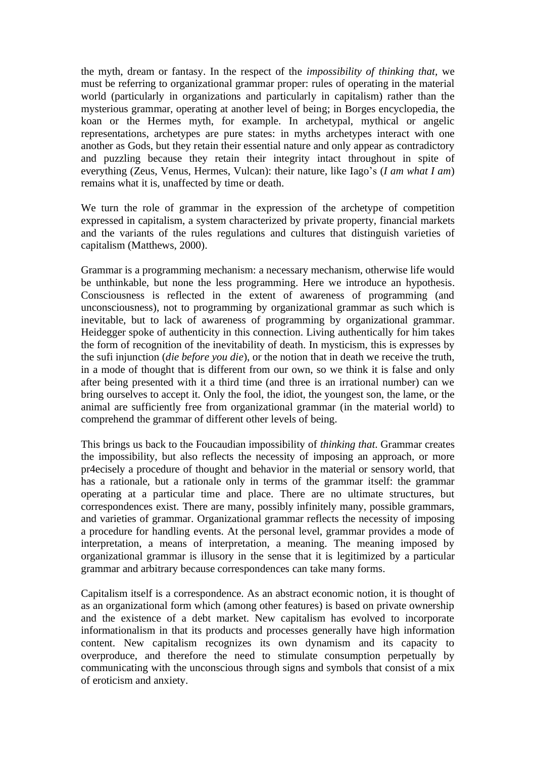the myth, dream or fantasy. In the respect of the *impossibility of thinking that,* we must be referring to organizational grammar proper: rules of operating in the material world (particularly in organizations and particularly in capitalism) rather than the mysterious grammar, operating at another level of being; in Borges encyclopedia, the koan or the Hermes myth, for example. In archetypal, mythical or angelic representations, archetypes are pure states: in myths archetypes interact with one another as Gods, but they retain their essential nature and only appear as contradictory and puzzling because they retain their integrity intact throughout in spite of everything (Zeus, Venus, Hermes, Vulcan): their nature, like Iago's (*I am what I am*) remains what it is, unaffected by time or death.

We turn the role of grammar in the expression of the archetype of competition expressed in capitalism, a system characterized by private property, financial markets and the variants of the rules regulations and cultures that distinguish varieties of capitalism (Matthews, 2000).

Grammar is a programming mechanism: a necessary mechanism, otherwise life would be unthinkable, but none the less programming. Here we introduce an hypothesis. Consciousness is reflected in the extent of awareness of programming (and unconsciousness), not to programming by organizational grammar as such which is inevitable, but to lack of awareness of programming by organizational grammar. Heidegger spoke of authenticity in this connection. Living authentically for him takes the form of recognition of the inevitability of death. In mysticism, this is expresses by the sufi injunction (*die before you die*), or the notion that in death we receive the truth, in a mode of thought that is different from our own, so we think it is false and only after being presented with it a third time (and three is an irrational number) can we bring ourselves to accept it. Only the fool, the idiot, the youngest son, the lame, or the animal are sufficiently free from organizational grammar (in the material world) to comprehend the grammar of different other levels of being.

This brings us back to the Foucaudian impossibility of *thinking that*. Grammar creates the impossibility, but also reflects the necessity of imposing an approach, or more pr4ecisely a procedure of thought and behavior in the material or sensory world, that has a rationale, but a rationale only in terms of the grammar itself: the grammar operating at a particular time and place. There are no ultimate structures, but correspondences exist. There are many, possibly infinitely many, possible grammars, and varieties of grammar. Organizational grammar reflects the necessity of imposing a procedure for handling events. At the personal level, grammar provides a mode of interpretation, a means of interpretation, a meaning. The meaning imposed by organizational grammar is illusory in the sense that it is legitimized by a particular grammar and arbitrary because correspondences can take many forms.

Capitalism itself is a correspondence. As an abstract economic notion, it is thought of as an organizational form which (among other features) is based on private ownership and the existence of a debt market. New capitalism has evolved to incorporate informationalism in that its products and processes generally have high information content. New capitalism recognizes its own dynamism and its capacity to overproduce, and therefore the need to stimulate consumption perpetually by communicating with the unconscious through signs and symbols that consist of a mix of eroticism and anxiety.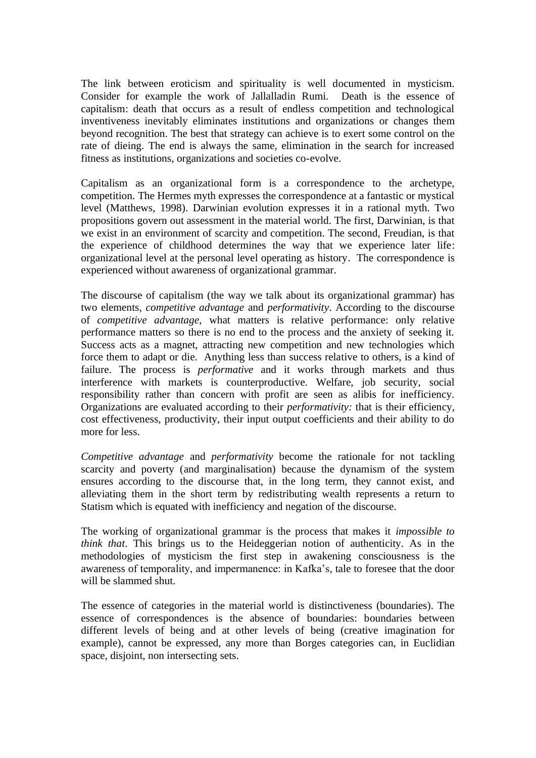The link between eroticism and spirituality is well documented in mysticism. Consider for example the work of Jallalladin Rumi. Death is the essence of capitalism: death that occurs as a result of endless competition and technological inventiveness inevitably eliminates institutions and organizations or changes them beyond recognition. The best that strategy can achieve is to exert some control on the rate of dieing. The end is always the same, elimination in the search for increased fitness as institutions, organizations and societies co-evolve.

Capitalism as an organizational form is a correspondence to the archetype, competition. The Hermes myth expresses the correspondence at a fantastic or mystical level (Matthews, 1998). Darwinian evolution expresses it in a rational myth. Two propositions govern out assessment in the material world. The first, Darwinian, is that we exist in an environment of scarcity and competition. The second, Freudian, is that the experience of childhood determines the way that we experience later life: organizational level at the personal level operating as history. The correspondence is experienced without awareness of organizational grammar.

The discourse of capitalism (the way we talk about its organizational grammar) has two elements, *competitive advantage* and *performativity*. According to the discourse of *competitive advantage,* what matters is relative performance: only relative performance matters so there is no end to the process and the anxiety of seeking it. Success acts as a magnet, attracting new competition and new technologies which force them to adapt or die. Anything less than success relative to others, is a kind of failure. The process is *performative* and it works through markets and thus interference with markets is counterproductive. Welfare, job security, social responsibility rather than concern with profit are seen as alibis for inefficiency. Organizations are evaluated according to their *performativity:* that is their efficiency, cost effectiveness, productivity, their input output coefficients and their ability to do more for less.

*Competitive advantage* and *performativity* become the rationale for not tackling scarcity and poverty (and marginalisation) because the dynamism of the system ensures according to the discourse that, in the long term, they cannot exist, and alleviating them in the short term by redistributing wealth represents a return to Statism which is equated with inefficiency and negation of the discourse.

The working of organizational grammar is the process that makes it *impossible to think that*. This brings us to the Heideggerian notion of authenticity. As in the methodologies of mysticism the first step in awakening consciousness is the awareness of temporality, and impermanence: in Kafka's, tale to foresee that the door will be slammed shut.

The essence of categories in the material world is distinctiveness (boundaries). The essence of correspondences is the absence of boundaries: boundaries between different levels of being and at other levels of being (creative imagination for example), cannot be expressed, any more than Borges categories can, in Euclidian space, disjoint, non intersecting sets.